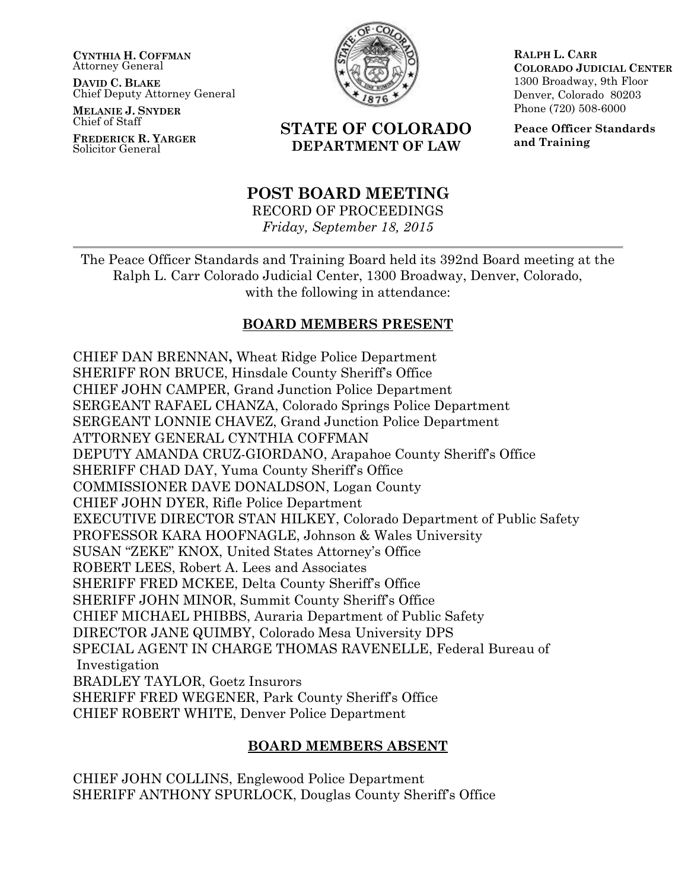**CYNTHIA H. COFFMAN** Attorney General

**DAVID C. BLAKE** Chief Deputy Attorney General

**MELANIE J. SNYDER** Chief of Staff

**FREDERICK R. YARGER** Solicitor General



**RALPH L. CARR COLORADO JUDICIAL CENTER** 1300 Broadway, 9th Floor Denver, Colorado 80203 Phone (720) 508-6000

# **STATE OF COLORADO DEPARTMENT OF LAW**

**Peace Officer Standards and Training**

# **POST BOARD MEETING**

RECORD OF PROCEEDINGS *Friday, September 18, 2015*

The Peace Officer Standards and Training Board held its 392nd Board meeting at the Ralph L. Carr Colorado Judicial Center, 1300 Broadway, Denver, Colorado, with the following in attendance:

# **BOARD MEMBERS PRESENT**

CHIEF DAN BRENNAN**,** Wheat Ridge Police Department SHERIFF RON BRUCE, Hinsdale County Sheriff's Office CHIEF JOHN CAMPER, Grand Junction Police Department SERGEANT RAFAEL CHANZA, Colorado Springs Police Department SERGEANT LONNIE CHAVEZ, Grand Junction Police Department ATTORNEY GENERAL CYNTHIA COFFMAN DEPUTY AMANDA CRUZ-GIORDANO, Arapahoe County Sheriff's Office SHERIFF CHAD DAY, Yuma County Sheriff's Office COMMISSIONER DAVE DONALDSON, Logan County CHIEF JOHN DYER, Rifle Police Department EXECUTIVE DIRECTOR STAN HILKEY, Colorado Department of Public Safety PROFESSOR KARA HOOFNAGLE, Johnson & Wales University SUSAN "ZEKE" KNOX, United States Attorney's Office ROBERT LEES, Robert A. Lees and Associates SHERIFF FRED MCKEE, Delta County Sheriff's Office SHERIFF JOHN MINOR, Summit County Sheriff's Office CHIEF MICHAEL PHIBBS, Auraria Department of Public Safety DIRECTOR JANE QUIMBY, Colorado Mesa University DPS SPECIAL AGENT IN CHARGE THOMAS RAVENELLE, Federal Bureau of Investigation BRADLEY TAYLOR, Goetz Insurors SHERIFF FRED WEGENER, Park County Sheriff's Office CHIEF ROBERT WHITE, Denver Police Department

# **BOARD MEMBERS ABSENT**

CHIEF JOHN COLLINS, Englewood Police Department SHERIFF ANTHONY SPURLOCK, Douglas County Sheriff's Office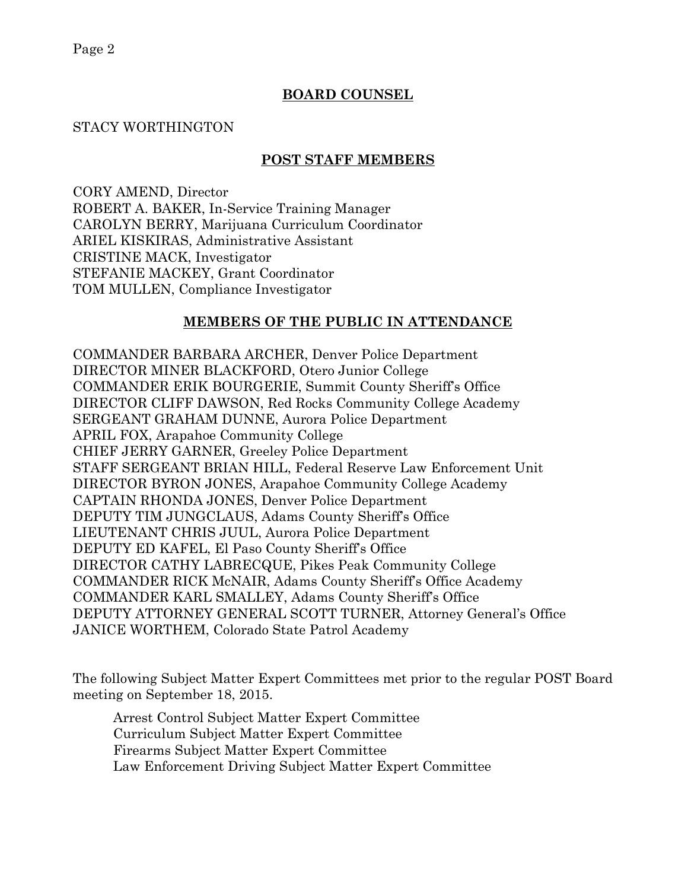Page 2

# **BOARD COUNSEL**

### STACY WORTHINGTON

### **POST STAFF MEMBERS**

CORY AMEND, Director ROBERT A. BAKER, In-Service Training Manager CAROLYN BERRY, Marijuana Curriculum Coordinator ARIEL KISKIRAS, Administrative Assistant CRISTINE MACK, Investigator STEFANIE MACKEY, Grant Coordinator TOM MULLEN, Compliance Investigator

### **MEMBERS OF THE PUBLIC IN ATTENDANCE**

COMMANDER BARBARA ARCHER, Denver Police Department DIRECTOR MINER BLACKFORD, Otero Junior College COMMANDER ERIK BOURGERIE, Summit County Sheriff's Office DIRECTOR CLIFF DAWSON, Red Rocks Community College Academy SERGEANT GRAHAM DUNNE, Aurora Police Department APRIL FOX, Arapahoe Community College CHIEF JERRY GARNER, Greeley Police Department STAFF SERGEANT BRIAN HILL, Federal Reserve Law Enforcement Unit DIRECTOR BYRON JONES, Arapahoe Community College Academy CAPTAIN RHONDA JONES, Denver Police Department DEPUTY TIM JUNGCLAUS, Adams County Sheriff's Office LIEUTENANT CHRIS JUUL, Aurora Police Department DEPUTY ED KAFEL, El Paso County Sheriff's Office DIRECTOR CATHY LABRECQUE, Pikes Peak Community College COMMANDER RICK McNAIR, Adams County Sheriff's Office Academy COMMANDER KARL SMALLEY, Adams County Sheriff's Office DEPUTY ATTORNEY GENERAL SCOTT TURNER, Attorney General's Office JANICE WORTHEM, Colorado State Patrol Academy

The following Subject Matter Expert Committees met prior to the regular POST Board meeting on September 18, 2015.

Arrest Control Subject Matter Expert Committee Curriculum Subject Matter Expert Committee Firearms Subject Matter Expert Committee Law Enforcement Driving Subject Matter Expert Committee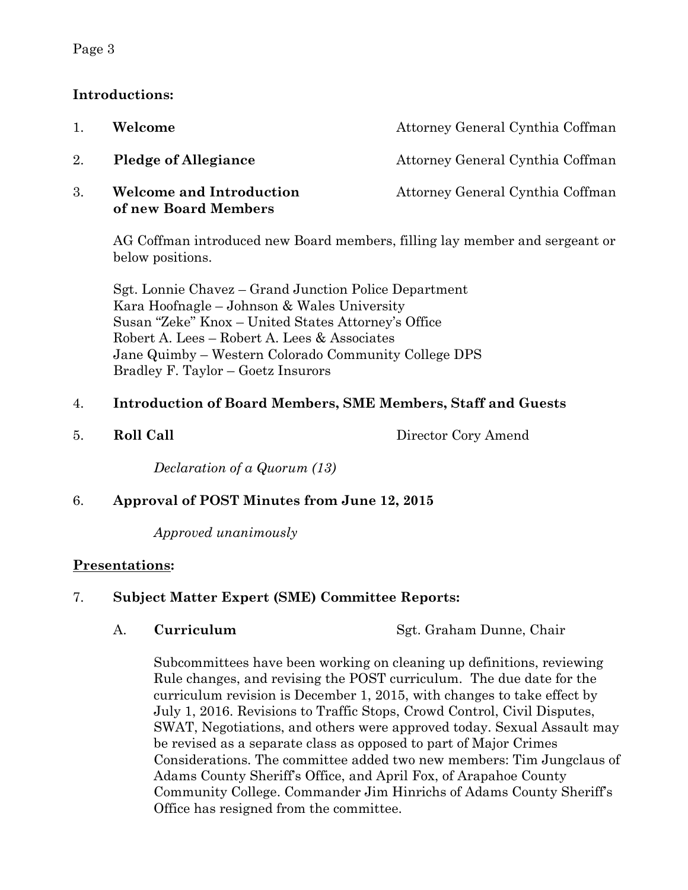### Page 3

# **Introductions:**

| 1. | Welcome                                                 | Attorney General Cynthia Coffman |
|----|---------------------------------------------------------|----------------------------------|
| 2. | <b>Pledge of Allegiance</b>                             | Attorney General Cynthia Coffman |
| 3. | <b>Welcome and Introduction</b><br>of new Board Members | Attorney General Cynthia Coffman |

AG Coffman introduced new Board members, filling lay member and sergeant or below positions.

Sgt. Lonnie Chavez – Grand Junction Police Department Kara Hoofnagle – Johnson & Wales University Susan "Zeke" Knox – United States Attorney's Office Robert A. Lees – Robert A. Lees & Associates Jane Quimby – Western Colorado Community College DPS Bradley F. Taylor – Goetz Insurors

# 4. **Introduction of Board Members, SME Members, Staff and Guests**

5. **Roll Call** Director Cory Amend

*Declaration of a Quorum (13)*

# 6. **Approval of POST Minutes from June 12, 2015**

*Approved unanimously*

# **Presentations:**

# 7. **Subject Matter Expert (SME) Committee Reports:**

A. **Curriculum** Sgt. Graham Dunne, Chair

Subcommittees have been working on cleaning up definitions, reviewing Rule changes, and revising the POST curriculum. The due date for the curriculum revision is December 1, 2015, with changes to take effect by July 1, 2016. Revisions to Traffic Stops, Crowd Control, Civil Disputes, SWAT, Negotiations, and others were approved today. Sexual Assault may be revised as a separate class as opposed to part of Major Crimes Considerations. The committee added two new members: Tim Jungclaus of Adams County Sheriff's Office, and April Fox, of Arapahoe County Community College. Commander Jim Hinrichs of Adams County Sheriff's Office has resigned from the committee.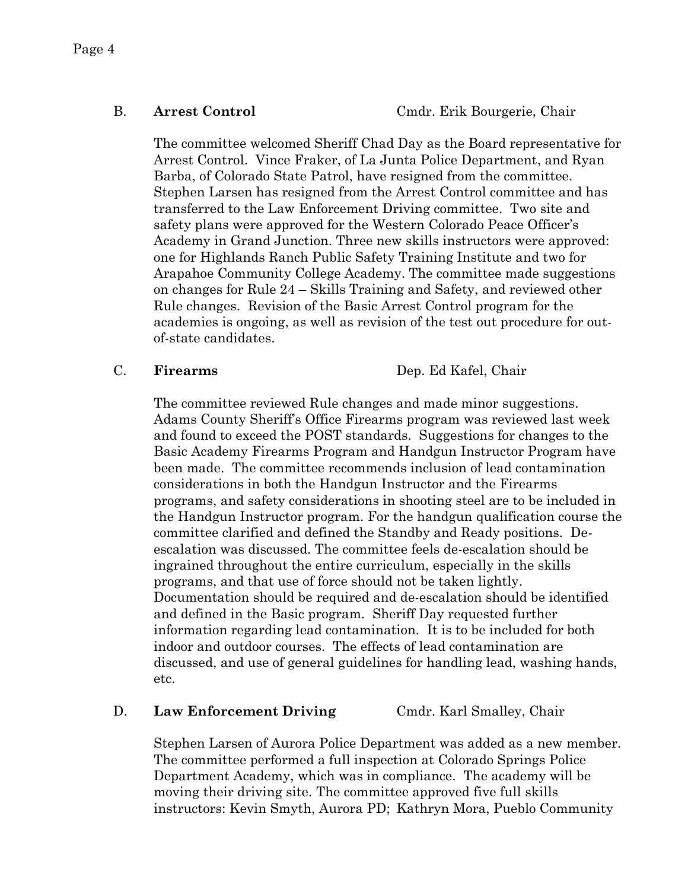The committee welcomed Sheriff Chad Day as the Board representative for Arrest Control. Vince Fraker, of La Junta Police Department, and Ryan Barba, of Colorado State Patrol, have resigned from the committee. Stephen Larsen has resigned from the Arrest Control committee and has transferred to the Law Enforcement Driving committee. Two site and safety plans were approved for the Western Colorado Peace Officer's Academy in Grand Junction. Three new skills instructors were approved: one for Highlands Ranch Public Safety Training Institute and two for Arapahoe Community College Academy. The committee made suggestions on changes for Rule 24 – Skills Training and Safety, and reviewed other Rule changes. Revision of the Basic Arrest Control program for the academies is ongoing, as well as revision of the test out procedure for outof-state candidates.

C. **Firearms** Dep. Ed Kafel, Chair

The committee reviewed Rule changes and made minor suggestions. Adams County Sheriff's Office Firearms program was reviewed last week and found to exceed the POST standards. Suggestions for changes to the Basic Academy Firearms Program and Handgun Instructor Program have been made. The committee recommends inclusion of lead contamination considerations in both the Handgun Instructor and the Firearms programs, and safety considerations in shooting steel are to be included in the Handgun Instructor program. For the handgun qualification course the committee clarified and defined the Standby and Ready positions. Deescalation was discussed. The committee feels de-escalation should be ingrained throughout the entire curriculum, especially in the skills programs, and that use of force should not be taken lightly. Documentation should be required and de-escalation should be identified and defined in the Basic program. Sheriff Day requested further information regarding lead contamination. It is to be included for both indoor and outdoor courses. The effects of lead contamination are discussed, and use of general guidelines for handling lead, washing hands, etc.

# D. **Law Enforcement Driving** Cmdr. Karl Smalley, Chair

Stephen Larsen of Aurora Police Department was added as a new member. The committee performed a full inspection at Colorado Springs Police Department Academy, which was in compliance. The academy will be moving their driving site. The committee approved five full skills instructors: Kevin Smyth, Aurora PD; Kathryn Mora, Pueblo Community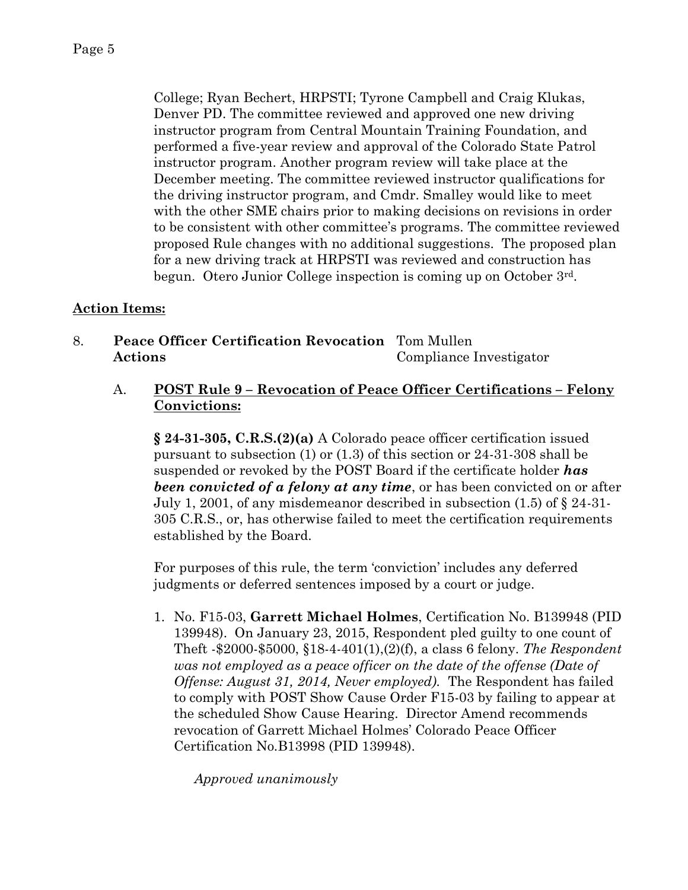College; Ryan Bechert, HRPSTI; Tyrone Campbell and Craig Klukas, Denver PD. The committee reviewed and approved one new driving instructor program from Central Mountain Training Foundation, and performed a five-year review and approval of the Colorado State Patrol instructor program. Another program review will take place at the December meeting. The committee reviewed instructor qualifications for the driving instructor program, and Cmdr. Smalley would like to meet with the other SME chairs prior to making decisions on revisions in order to be consistent with other committee's programs. The committee reviewed proposed Rule changes with no additional suggestions. The proposed plan for a new driving track at HRPSTI was reviewed and construction has begun. Otero Junior College inspection is coming up on October 3rd.

# **Action Items:**

- 8. **Peace Officer Certification Revocation** Tom Mullen **Actions** Compliance Investigator
	- A. **POST Rule 9 – Revocation of Peace Officer Certifications – Felony Convictions:**

**§ 24-31-305, C.R.S.(2)(a)** A Colorado peace officer certification issued pursuant to subsection (1) or (1.3) of this section or 24-31-308 shall be suspended or revoked by the POST Board if the certificate holder *has been convicted of a felony at any time*, or has been convicted on or after July 1, 2001, of any misdemeanor described in subsection (1.5) of § 24-31- 305 C.R.S., or, has otherwise failed to meet the certification requirements established by the Board.

For purposes of this rule, the term 'conviction' includes any deferred judgments or deferred sentences imposed by a court or judge.

1. No. F15-03, **Garrett Michael Holmes**, Certification No. B139948 (PID 139948). On January 23, 2015, Respondent pled guilty to one count of Theft -\$2000-\$5000, §18-4-401(1),(2)(f), a class 6 felony. *The Respondent was not employed as a peace officer on the date of the offense (Date of Offense: August 31, 2014, Never employed).* The Respondent has failed to comply with POST Show Cause Order F15-03 by failing to appear at the scheduled Show Cause Hearing. Director Amend recommends revocation of Garrett Michael Holmes' Colorado Peace Officer Certification No.B13998 (PID 139948).

*Approved unanimously*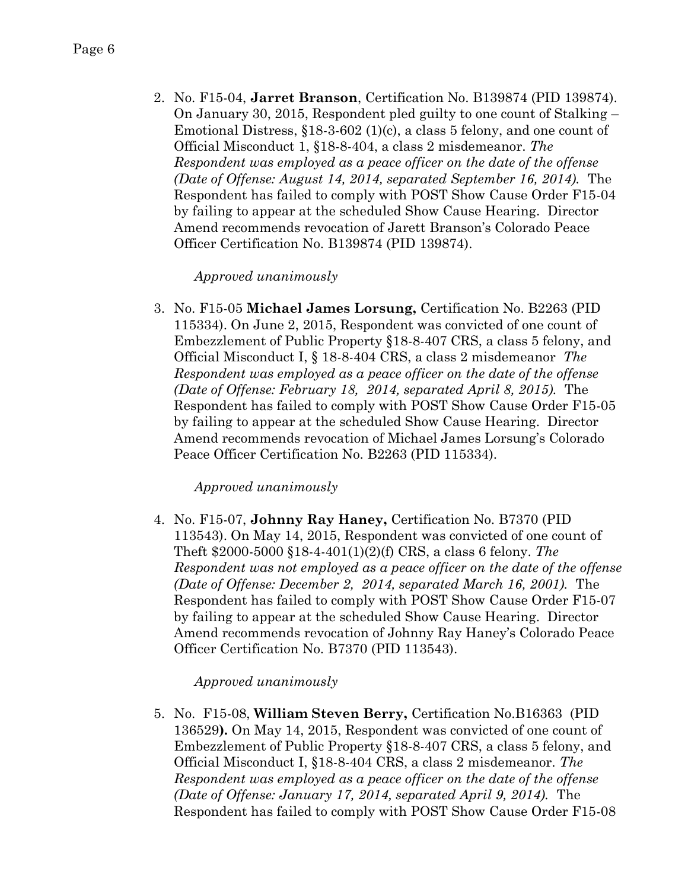2. No. F15-04, **Jarret Branson**, Certification No. B139874 (PID 139874). On January 30, 2015, Respondent pled guilty to one count of Stalking – Emotional Distress,  $\S18-3-602$  (1)(c), a class 5 felony, and one count of Official Misconduct 1, §18-8-404, a class 2 misdemeanor. *The Respondent was employed as a peace officer on the date of the offense (Date of Offense: August 14, 2014, separated September 16, 2014).* The Respondent has failed to comply with POST Show Cause Order F15-04 by failing to appear at the scheduled Show Cause Hearing. Director Amend recommends revocation of Jarett Branson's Colorado Peace Officer Certification No. B139874 (PID 139874).

### *Approved unanimously*

3. No. F15-05 **Michael James Lorsung,** Certification No. B2263 (PID 115334). On June 2, 2015, Respondent was convicted of one count of Embezzlement of Public Property §18-8-407 CRS, a class 5 felony, and Official Misconduct I, § 18-8-404 CRS, a class 2 misdemeanor *The Respondent was employed as a peace officer on the date of the offense (Date of Offense: February 18, 2014, separated April 8, 2015).* The Respondent has failed to comply with POST Show Cause Order F15-05 by failing to appear at the scheduled Show Cause Hearing. Director Amend recommends revocation of Michael James Lorsung's Colorado Peace Officer Certification No. B2263 (PID 115334).

### *Approved unanimously*

4. No. F15-07, **Johnny Ray Haney,** Certification No. B7370 (PID 113543). On May 14, 2015, Respondent was convicted of one count of Theft \$2000-5000 §18-4-401(1)(2)(f) CRS, a class 6 felony. *The Respondent was not employed as a peace officer on the date of the offense (Date of Offense: December 2, 2014, separated March 16, 2001).* The Respondent has failed to comply with POST Show Cause Order F15-07 by failing to appear at the scheduled Show Cause Hearing. Director Amend recommends revocation of Johnny Ray Haney's Colorado Peace Officer Certification No. B7370 (PID 113543).

### *Approved unanimously*

5. No. F15-08, **William Steven Berry,** Certification No.B16363 (PID 136529**).** On May 14, 2015, Respondent was convicted of one count of Embezzlement of Public Property §18-8-407 CRS, a class 5 felony, and Official Misconduct I, §18-8-404 CRS, a class 2 misdemeanor. *The Respondent was employed as a peace officer on the date of the offense (Date of Offense: January 17, 2014, separated April 9, 2014).* The Respondent has failed to comply with POST Show Cause Order F15-08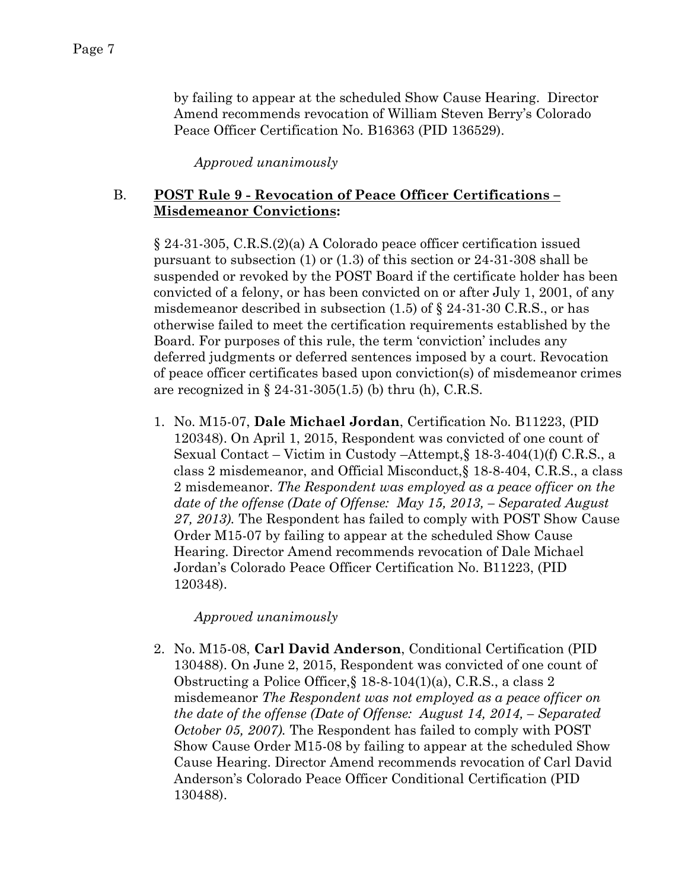by failing to appear at the scheduled Show Cause Hearing. Director Amend recommends revocation of William Steven Berry's Colorado Peace Officer Certification No. B16363 (PID 136529).

*Approved unanimously*

### B. **POST Rule 9 - Revocation of Peace Officer Certifications – Misdemeanor Convictions:**

§ 24-31-305, C.R.S.(2)(a) A Colorado peace officer certification issued pursuant to subsection (1) or (1.3) of this section or 24-31-308 shall be suspended or revoked by the POST Board if the certificate holder has been convicted of a felony, or has been convicted on or after July 1, 2001, of any misdemeanor described in subsection  $(1.5)$  of  $\S$  24-31-30 C.R.S., or has otherwise failed to meet the certification requirements established by the Board. For purposes of this rule, the term 'conviction' includes any deferred judgments or deferred sentences imposed by a court. Revocation of peace officer certificates based upon conviction(s) of misdemeanor crimes are recognized in  $\S 24-31-305(1.5)$  (b) thru (h), C.R.S.

1. No. M15-07, **Dale Michael Jordan**, Certification No. B11223, (PID 120348). On April 1, 2015, Respondent was convicted of one count of Sexual Contact – Victim in Custody –Attempt,§ 18-3-404(1)(f) C.R.S., a class 2 misdemeanor, and Official Misconduct,§ 18-8-404, C.R.S., a class 2 misdemeanor. *The Respondent was employed as a peace officer on the date of the offense (Date of Offense: May 15, 2013, – Separated August 27, 2013).* The Respondent has failed to comply with POST Show Cause Order M15-07 by failing to appear at the scheduled Show Cause Hearing. Director Amend recommends revocation of Dale Michael Jordan's Colorado Peace Officer Certification No. B11223, (PID 120348).

*Approved unanimously*

2. No. M15-08, **Carl David Anderson**, Conditional Certification (PID 130488). On June 2, 2015, Respondent was convicted of one count of Obstructing a Police Officer,§ 18-8-104(1)(a), C.R.S., a class 2 misdemeanor *The Respondent was not employed as a peace officer on the date of the offense (Date of Offense: August 14, 2014, – Separated October 05, 2007).* The Respondent has failed to comply with POST Show Cause Order M15-08 by failing to appear at the scheduled Show Cause Hearing. Director Amend recommends revocation of Carl David Anderson's Colorado Peace Officer Conditional Certification (PID 130488).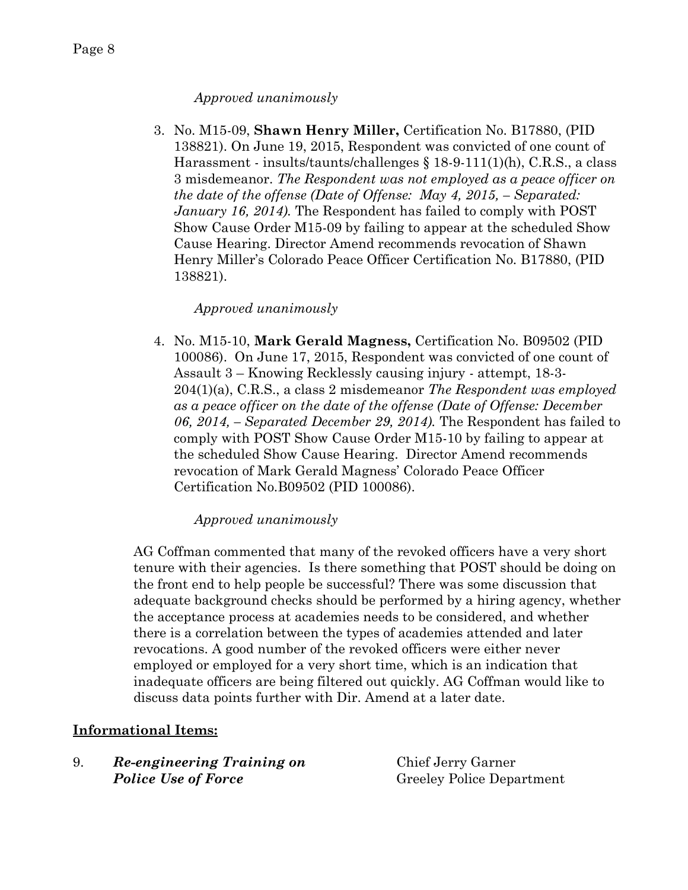# *Approved unanimously*

3. No. M15-09, **Shawn Henry Miller,** Certification No. B17880, (PID 138821). On June 19, 2015, Respondent was convicted of one count of Harassment - insults/taunts/challenges § 18-9-111(1)(h), C.R.S., a class 3 misdemeanor. *The Respondent was not employed as a peace officer on the date of the offense (Date of Offense: May 4, 2015, – Separated: January 16, 2014*). The Respondent has failed to comply with POST Show Cause Order M15-09 by failing to appear at the scheduled Show Cause Hearing. Director Amend recommends revocation of Shawn Henry Miller's Colorado Peace Officer Certification No. B17880, (PID 138821).

# *Approved unanimously*

4. No. M15-10, **Mark Gerald Magness,** Certification No. B09502 (PID 100086). On June 17, 2015, Respondent was convicted of one count of Assault 3 – Knowing Recklessly causing injury - attempt, 18-3- 204(1)(a), C.R.S., a class 2 misdemeanor *The Respondent was employed as a peace officer on the date of the offense (Date of Offense: December 06, 2014, – Separated December 29, 2014).* The Respondent has failed to comply with POST Show Cause Order M15-10 by failing to appear at the scheduled Show Cause Hearing. Director Amend recommends revocation of Mark Gerald Magness' Colorado Peace Officer Certification No.B09502 (PID 100086).

# *Approved unanimously*

AG Coffman commented that many of the revoked officers have a very short tenure with their agencies. Is there something that POST should be doing on the front end to help people be successful? There was some discussion that adequate background checks should be performed by a hiring agency, whether the acceptance process at academies needs to be considered, and whether there is a correlation between the types of academies attended and later revocations. A good number of the revoked officers were either never employed or employed for a very short time, which is an indication that inadequate officers are being filtered out quickly. AG Coffman would like to discuss data points further with Dir. Amend at a later date.

# **Informational Items:**

| Re-engineering Training on | Chief Jerry Garner               |
|----------------------------|----------------------------------|
| <b>Police Use of Force</b> | <b>Greeley Police Department</b> |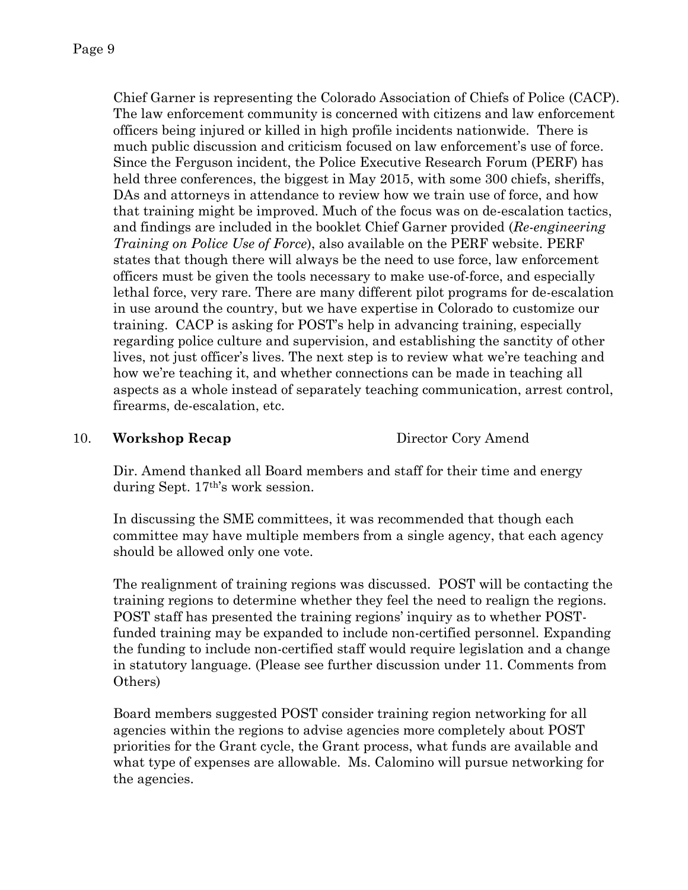Chief Garner is representing the Colorado Association of Chiefs of Police (CACP). The law enforcement community is concerned with citizens and law enforcement officers being injured or killed in high profile incidents nationwide. There is much public discussion and criticism focused on law enforcement's use of force. Since the Ferguson incident, the Police Executive Research Forum (PERF) has held three conferences, the biggest in May 2015, with some 300 chiefs, sheriffs, DAs and attorneys in attendance to review how we train use of force, and how that training might be improved. Much of the focus was on de-escalation tactics, and findings are included in the booklet Chief Garner provided (*Re-engineering Training on Police Use of Force*), also available on the PERF website. PERF states that though there will always be the need to use force, law enforcement officers must be given the tools necessary to make use-of-force, and especially lethal force, very rare. There are many different pilot programs for de-escalation in use around the country, but we have expertise in Colorado to customize our training. CACP is asking for POST's help in advancing training, especially regarding police culture and supervision, and establishing the sanctity of other lives, not just officer's lives. The next step is to review what we're teaching and how we're teaching it, and whether connections can be made in teaching all aspects as a whole instead of separately teaching communication, arrest control, firearms, de-escalation, etc.

### 10. **Workshop Recap** Director Cory Amend

Dir. Amend thanked all Board members and staff for their time and energy during Sept. 17th's work session.

In discussing the SME committees, it was recommended that though each committee may have multiple members from a single agency, that each agency should be allowed only one vote.

The realignment of training regions was discussed. POST will be contacting the training regions to determine whether they feel the need to realign the regions. POST staff has presented the training regions' inquiry as to whether POSTfunded training may be expanded to include non-certified personnel. Expanding the funding to include non-certified staff would require legislation and a change in statutory language. (Please see further discussion under 11. Comments from Others)

Board members suggested POST consider training region networking for all agencies within the regions to advise agencies more completely about POST priorities for the Grant cycle, the Grant process, what funds are available and what type of expenses are allowable. Ms. Calomino will pursue networking for the agencies.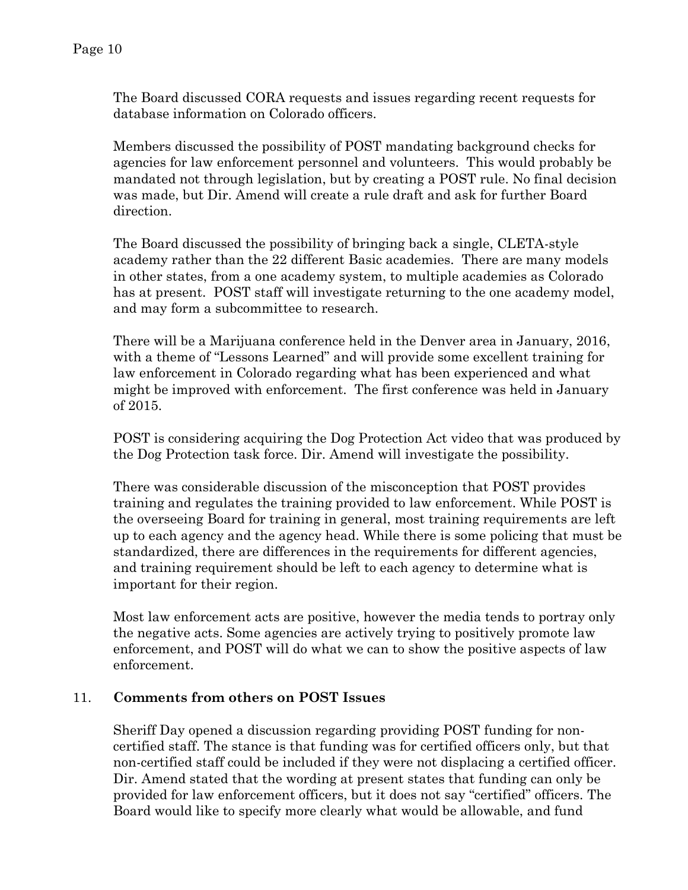The Board discussed CORA requests and issues regarding recent requests for database information on Colorado officers.

Members discussed the possibility of POST mandating background checks for agencies for law enforcement personnel and volunteers. This would probably be mandated not through legislation, but by creating a POST rule. No final decision was made, but Dir. Amend will create a rule draft and ask for further Board direction.

The Board discussed the possibility of bringing back a single, CLETA-style academy rather than the 22 different Basic academies. There are many models in other states, from a one academy system, to multiple academies as Colorado has at present. POST staff will investigate returning to the one academy model, and may form a subcommittee to research.

There will be a Marijuana conference held in the Denver area in January, 2016, with a theme of "Lessons Learned" and will provide some excellent training for law enforcement in Colorado regarding what has been experienced and what might be improved with enforcement. The first conference was held in January of 2015.

POST is considering acquiring the Dog Protection Act video that was produced by the Dog Protection task force. Dir. Amend will investigate the possibility.

There was considerable discussion of the misconception that POST provides training and regulates the training provided to law enforcement. While POST is the overseeing Board for training in general, most training requirements are left up to each agency and the agency head. While there is some policing that must be standardized, there are differences in the requirements for different agencies, and training requirement should be left to each agency to determine what is important for their region.

Most law enforcement acts are positive, however the media tends to portray only the negative acts. Some agencies are actively trying to positively promote law enforcement, and POST will do what we can to show the positive aspects of law enforcement.

### 11. **Comments from others on POST Issues**

Sheriff Day opened a discussion regarding providing POST funding for noncertified staff. The stance is that funding was for certified officers only, but that non-certified staff could be included if they were not displacing a certified officer. Dir. Amend stated that the wording at present states that funding can only be provided for law enforcement officers, but it does not say "certified" officers. The Board would like to specify more clearly what would be allowable, and fund